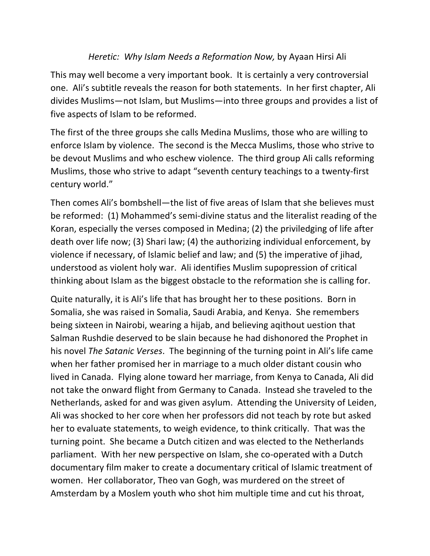## *Heretic: Why Islam Needs a Reformation Now, by Ayaan Hirsi Ali*

This may well become a very important book. It is certainly a very controversial one. Ali's subtitle reveals the reason for both statements. In her first chapter, Ali divides Muslims—not Islam, but Muslims—into three groups and provides a list of five aspects of Islam to be reformed.

The first of the three groups she calls Medina Muslims, those who are willing to enforce Islam by violence. The second is the Mecca Muslims, those who strive to be devout Muslims and who eschew violence. The third group Ali calls reforming Muslims, those who strive to adapt "seventh century teachings to a twenty-first century world."

Then comes Ali's bombshell—the list of five areas of Islam that she believes must be reformed: (1) Mohammed's semi-divine status and the literalist reading of the Koran, especially the verses composed in Medina; (2) the priviledging of life after death over life now; (3) Shari law; (4) the authorizing individual enforcement, by violence if necessary, of Islamic belief and law; and (5) the imperative of jihad, understood as violent holy war. Ali identifies Muslim supopression of critical thinking about Islam as the biggest obstacle to the reformation she is calling for.

Quite naturally, it is Ali's life that has brought her to these positions. Born in Somalia, she was raised in Somalia, Saudi Arabia, and Kenya. She remembers being sixteen in Nairobi, wearing a hijab, and believing agithout uestion that Salman Rushdie deserved to be slain because he had dishonored the Prophet in his novel *The Satanic Verses*. The beginning of the turning point in Ali's life came when her father promised her in marriage to a much older distant cousin who lived in Canada. Flying alone toward her marriage, from Kenya to Canada, Ali did not take the onward flight from Germany to Canada. Instead she traveled to the Netherlands, asked for and was given asylum. Attending the University of Leiden, Ali was shocked to her core when her professors did not teach by rote but asked her to evaluate statements, to weigh evidence, to think critically. That was the turning point. She became a Dutch citizen and was elected to the Netherlands parliament. With her new perspective on Islam, she co-operated with a Dutch documentary film maker to create a documentary critical of Islamic treatment of women. Her collaborator, Theo van Gogh, was murdered on the street of Amsterdam by a Moslem youth who shot him multiple time and cut his throat,